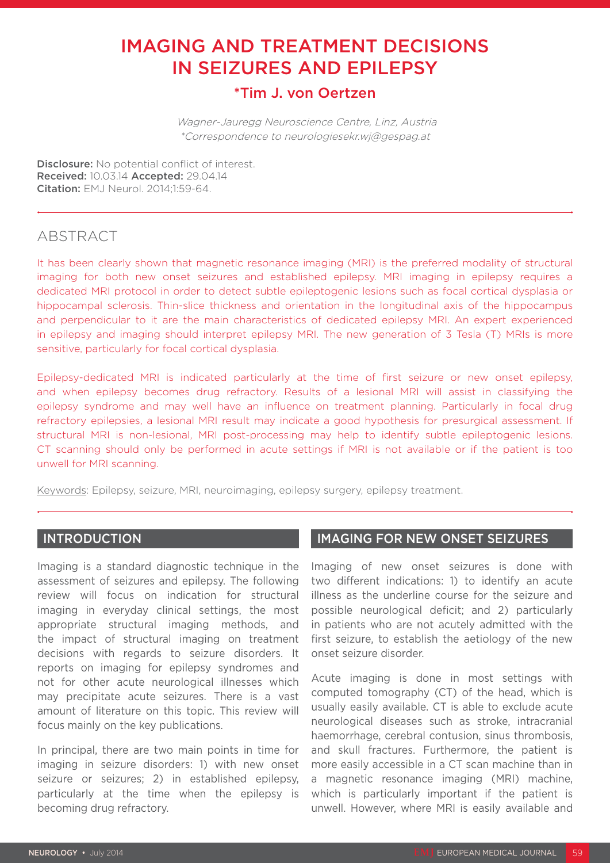# IMAGING AND TREATMENT DECISIONS IN SEIZURES AND EPILEPSY

# \*Tim J. von Oertzen

 Wagner-Jauregg Neuroscience Centre, Linz, Austria \*Correspondence to neurologiesekr.wj@gespag.at

Disclosure: No potential conflict of interest. Received: 10.03.14 Accepted: 29.04.14 Citation: EMJ Neurol. 2014;1:59-64.

# ABSTRACT

It has been clearly shown that magnetic resonance imaging (MRI) is the preferred modality of structural imaging for both new onset seizures and established epilepsy. MRI imaging in epilepsy requires a dedicated MRI protocol in order to detect subtle epileptogenic lesions such as focal cortical dysplasia or hippocampal sclerosis. Thin-slice thickness and orientation in the longitudinal axis of the hippocampus and perpendicular to it are the main characteristics of dedicated epilepsy MRI. An expert experienced in epilepsy and imaging should interpret epilepsy MRI. The new generation of 3 Tesla (T) MRIs is more sensitive, particularly for focal cortical dysplasia.

Epilepsy-dedicated MRI is indicated particularly at the time of first seizure or new onset epilepsy, and when epilepsy becomes drug refractory. Results of a lesional MRI will assist in classifying the epilepsy syndrome and may well have an influence on treatment planning. Particularly in focal drug refractory epilepsies, a lesional MRI result may indicate a good hypothesis for presurgical assessment. If structural MRI is non-lesional, MRI post-processing may help to identify subtle epileptogenic lesions. CT scanning should only be performed in acute settings if MRI is not available or if the patient is too unwell for MRI scanning.

Keywords: Epilepsy, seizure, MRI, neuroimaging, epilepsy surgery, epilepsy treatment.

## **INTRODUCTION**

Imaging is a standard diagnostic technique in the assessment of seizures and epilepsy. The following review will focus on indication for structural imaging in everyday clinical settings, the most appropriate structural imaging methods, and the impact of structural imaging on treatment decisions with regards to seizure disorders. It reports on imaging for epilepsy syndromes and not for other acute neurological illnesses which may precipitate acute seizures. There is a vast amount of literature on this topic. This review will focus mainly on the key publications.

In principal, there are two main points in time for imaging in seizure disorders: 1) with new onset seizure or seizures; 2) in established epilepsy, particularly at the time when the epilepsy is becoming drug refractory.

## IMAGING FOR NEW ONSET SEIZURES

Imaging of new onset seizures is done with two different indications: 1) to identify an acute illness as the underline course for the seizure and possible neurological deficit; and 2) particularly in patients who are not acutely admitted with the first seizure, to establish the aetiology of the new onset seizure disorder.

Acute imaging is done in most settings with computed tomography (CT) of the head, which is usually easily available. CT is able to exclude acute neurological diseases such as stroke, intracranial haemorrhage, cerebral contusion, sinus thrombosis, and skull fractures. Furthermore, the patient is more easily accessible in a CT scan machine than in a magnetic resonance imaging (MRI) machine, which is particularly important if the patient is unwell. However, where MRI is easily available and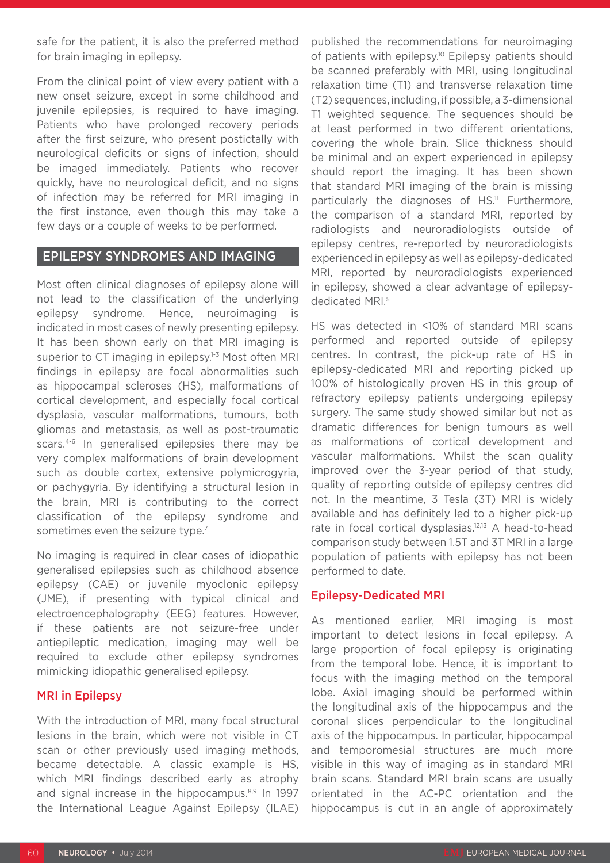safe for the patient, it is also the preferred method for brain imaging in epilepsy.

From the clinical point of view every patient with a new onset seizure, except in some childhood and juvenile epilepsies, is required to have imaging. Patients who have prolonged recovery periods after the first seizure, who present postictally with neurological deficits or signs of infection, should be imaged immediately. Patients who recover quickly, have no neurological deficit, and no signs of infection may be referred for MRI imaging in the first instance, even though this may take a few days or a couple of weeks to be performed.

#### EPILEPSY SYNDROMES AND IMAGING

Most often clinical diagnoses of epilepsy alone will not lead to the classification of the underlying epilepsy syndrome. Hence, neuroimaging is indicated in most cases of newly presenting epilepsy. It has been shown early on that MRI imaging is superior to CT imaging in epilepsy.<sup>1-3</sup> Most often MRI findings in epilepsy are focal abnormalities such as hippocampal scleroses (HS), malformations of cortical development, and especially focal cortical dysplasia, vascular malformations, tumours, both gliomas and metastasis, as well as post-traumatic scars.4-6 In generalised epilepsies there may be very complex malformations of brain development such as double cortex, extensive polymicrogyria, or pachygyria. By identifying a structural lesion in the brain, MRI is contributing to the correct classification of the epilepsy syndrome and sometimes even the seizure type.<sup>7</sup>

No imaging is required in clear cases of idiopathic generalised epilepsies such as childhood absence epilepsy (CAE) or juvenile myoclonic epilepsy (JME), if presenting with typical clinical and electroencephalography (EEG) features. However, if these patients are not seizure-free under antiepileptic medication, imaging may well be required to exclude other epilepsy syndromes mimicking idiopathic generalised epilepsy.

#### MRI in Epilepsy

With the introduction of MRI, many focal structural lesions in the brain, which were not visible in CT scan or other previously used imaging methods, became detectable. A classic example is HS, which MRI findings described early as atrophy and signal increase in the hippocampus.<sup>8,9</sup> In 1997 the International League Against Epilepsy (ILAE)

published the recommendations for neuroimaging of patients with epilepsy.<sup>10</sup> Epilepsy patients should be scanned preferably with MRI, using longitudinal relaxation time (T1) and transverse relaxation time (T2) sequences, including, if possible, a 3-dimensional T1 weighted sequence. The sequences should be at least performed in two different orientations, covering the whole brain. Slice thickness should be minimal and an expert experienced in epilepsy should report the imaging. It has been shown that standard MRI imaging of the brain is missing particularly the diagnoses of HS.<sup>11</sup> Furthermore, the comparison of a standard MRI, reported by radiologists and neuroradiologists outside of epilepsy centres, re-reported by neuroradiologists experienced in epilepsy as well as epilepsy-dedicated MRI, reported by neuroradiologists experienced in epilepsy, showed a clear advantage of epilepsydedicated MRI.5

HS was detected in <10% of standard MRI scans performed and reported outside of epilepsy centres. In contrast, the pick-up rate of HS in epilepsy-dedicated MRI and reporting picked up 100% of histologically proven HS in this group of refractory epilepsy patients undergoing epilepsy surgery. The same study showed similar but not as dramatic differences for benign tumours as well as malformations of cortical development and vascular malformations. Whilst the scan quality improved over the 3-year period of that study, quality of reporting outside of epilepsy centres did not. In the meantime, 3 Tesla (3T) MRI is widely available and has definitely led to a higher pick-up rate in focal cortical dysplasias.<sup>12,13</sup> A head-to-head comparison study between 1.5T and 3T MRI in a large population of patients with epilepsy has not been performed to date.

#### Epilepsy-Dedicated MRI

As mentioned earlier, MRI imaging is most important to detect lesions in focal epilepsy. A large proportion of focal epilepsy is originating from the temporal lobe. Hence, it is important to focus with the imaging method on the temporal lobe. Axial imaging should be performed within the longitudinal axis of the hippocampus and the coronal slices perpendicular to the longitudinal axis of the hippocampus. In particular, hippocampal and temporomesial structures are much more visible in this way of imaging as in standard MRI brain scans. Standard MRI brain scans are usually orientated in the AC-PC orientation and the hippocampus is cut in an angle of approximately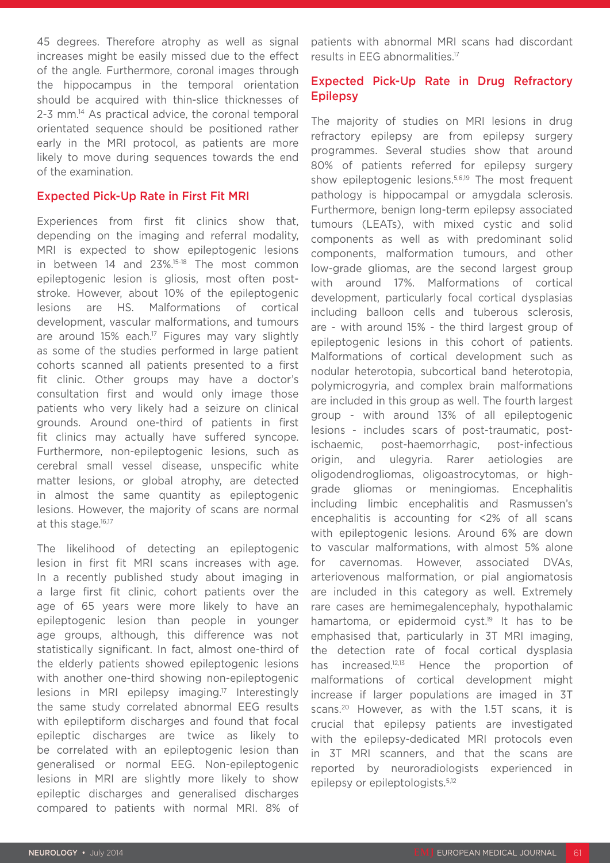45 degrees. Therefore atrophy as well as signal increases might be easily missed due to the effect of the angle. Furthermore, coronal images through the hippocampus in the temporal orientation should be acquired with thin-slice thicknesses of 2-3 mm.14 As practical advice, the coronal temporal orientated sequence should be positioned rather early in the MRI protocol, as patients are more likely to move during sequences towards the end of the examination.

#### Expected Pick-Up Rate in First Fit MRI

Experiences from first fit clinics show that, depending on the imaging and referral modality, MRI is expected to show epileptogenic lesions in between 14 and 23%.15-18 The most common epileptogenic lesion is gliosis, most often poststroke. However, about 10% of the epileptogenic lesions are HS. Malformations of cortical development, vascular malformations, and tumours are around 15% each.<sup>17</sup> Figures may vary slightly as some of the studies performed in large patient cohorts scanned all patients presented to a first fit clinic. Other groups may have a doctor's consultation first and would only image those patients who very likely had a seizure on clinical grounds. Around one-third of patients in first fit clinics may actually have suffered syncope. Furthermore, non-epileptogenic lesions, such as cerebral small vessel disease, unspecific white matter lesions, or global atrophy, are detected in almost the same quantity as epileptogenic lesions. However, the majority of scans are normal at this stage.<sup>16,17</sup>

The likelihood of detecting an epileptogenic lesion in first fit MRI scans increases with age. In a recently published study about imaging in a large first fit clinic, cohort patients over the age of 65 years were more likely to have an epileptogenic lesion than people in younger age groups, although, this difference was not statistically significant. In fact, almost one-third of the elderly patients showed epileptogenic lesions with another one-third showing non-epileptogenic lesions in MRI epilepsy imaging.17 Interestingly the same study correlated abnormal EEG results with epileptiform discharges and found that focal epileptic discharges are twice as likely to be correlated with an epileptogenic lesion than generalised or normal EEG. Non-epileptogenic lesions in MRI are slightly more likely to show epileptic discharges and generalised discharges compared to patients with normal MRI. 8% of

patients with abnormal MRI scans had discordant results in EEG abnormalities.17

## Expected Pick-Up Rate in Drug Refractory Epilepsy

The majority of studies on MRI lesions in drug refractory epilepsy are from epilepsy surgery programmes. Several studies show that around 80% of patients referred for epilepsy surgery show epileptogenic lesions.<sup>5,6,19</sup> The most frequent pathology is hippocampal or amygdala sclerosis. Furthermore, benign long-term epilepsy associated tumours (LEATs), with mixed cystic and solid components as well as with predominant solid components, malformation tumours, and other low-grade gliomas, are the second largest group with around 17%. Malformations of cortical development, particularly focal cortical dysplasias including balloon cells and tuberous sclerosis, are - with around 15% - the third largest group of epileptogenic lesions in this cohort of patients. Malformations of cortical development such as nodular heterotopia, subcortical band heterotopia, polymicrogyria, and complex brain malformations are included in this group as well. The fourth largest group - with around 13% of all epileptogenic lesions - includes scars of post-traumatic, postischaemic, post-haemorrhagic, post-infectious origin, and ulegyria. Rarer aetiologies are oligodendrogliomas, oligoastrocytomas, or highgrade gliomas or meningiomas. Encephalitis including limbic encephalitis and Rasmussen's encephalitis is accounting for <2% of all scans with epileptogenic lesions. Around 6% are down to vascular malformations, with almost 5% alone for cavernomas. However, associated DVAs, arteriovenous malformation, or pial angiomatosis are included in this category as well. Extremely rare cases are hemimegalencephaly, hypothalamic hamartoma, or epidermoid cyst.<sup>19</sup> It has to be emphasised that, particularly in 3T MRI imaging, the detection rate of focal cortical dysplasia has increased.<sup>12,13</sup> Hence the proportion of malformations of cortical development might increase if larger populations are imaged in 3T scans.<sup>20</sup> However, as with the 1.5T scans, it is crucial that epilepsy patients are investigated with the epilepsy-dedicated MRI protocols even in 3T MRI scanners, and that the scans are reported by neuroradiologists experienced in epilepsy or epileptologists.<sup>5,12</sup>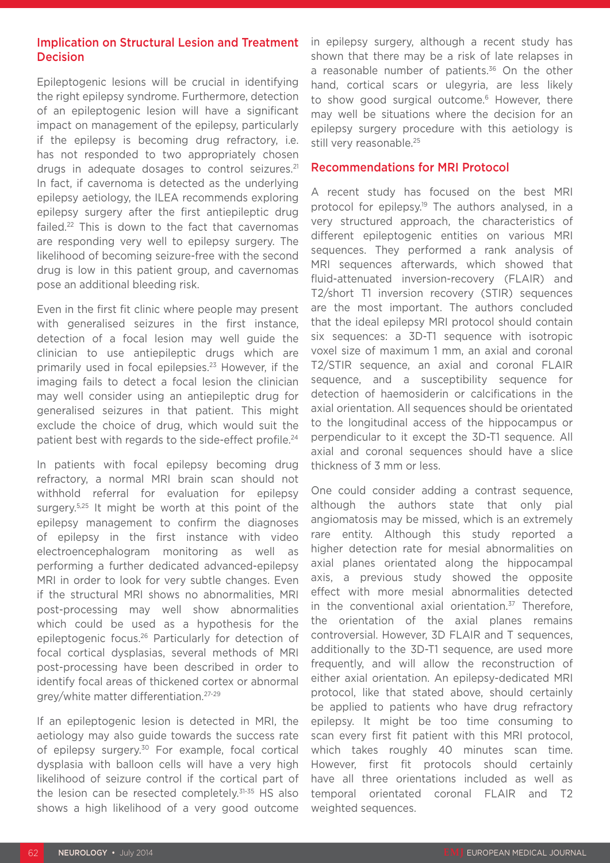## Implication on Structural Lesion and Treatment **Decision**

Epileptogenic lesions will be crucial in identifying the right epilepsy syndrome. Furthermore, detection of an epileptogenic lesion will have a significant impact on management of the epilepsy, particularly if the epilepsy is becoming drug refractory, i.e. has not responded to two appropriately chosen drugs in adequate dosages to control seizures.<sup>21</sup> In fact, if cavernoma is detected as the underlying epilepsy aetiology, the ILEA recommends exploring epilepsy surgery after the first antiepileptic drug failed.22 This is down to the fact that cavernomas are responding very well to epilepsy surgery. The likelihood of becoming seizure-free with the second drug is low in this patient group, and cavernomas pose an additional bleeding risk.

Even in the first fit clinic where people may present with generalised seizures in the first instance, detection of a focal lesion may well guide the clinician to use antiepileptic drugs which are primarily used in focal epilepsies.23 However, if the imaging fails to detect a focal lesion the clinician may well consider using an antiepileptic drug for generalised seizures in that patient. This might exclude the choice of drug, which would suit the patient best with regards to the side-effect profile.<sup>24</sup>

In patients with focal epilepsy becoming drug refractory, a normal MRI brain scan should not withhold referral for evaluation for epilepsy surgery.<sup>5,25</sup> It might be worth at this point of the epilepsy management to confirm the diagnoses of epilepsy in the first instance with video electroencephalogram monitoring as well as performing a further dedicated advanced-epilepsy MRI in order to look for very subtle changes. Even if the structural MRI shows no abnormalities, MRI post-processing may well show abnormalities which could be used as a hypothesis for the epileptogenic focus.26 Particularly for detection of focal cortical dysplasias, several methods of MRI post-processing have been described in order to identify focal areas of thickened cortex or abnormal grey/white matter differentiation.27-29

If an epileptogenic lesion is detected in MRI, the aetiology may also guide towards the success rate of epilepsy surgery.<sup>30</sup> For example, focal cortical dysplasia with balloon cells will have a very high likelihood of seizure control if the cortical part of the lesion can be resected completely.31-35 HS also shows a high likelihood of a very good outcome

in epilepsy surgery, although a recent study has shown that there may be a risk of late relapses in a reasonable number of patients.<sup>36</sup> On the other hand, cortical scars or ulegyria, are less likely to show good surgical outcome.<sup>6</sup> However, there may well be situations where the decision for an epilepsy surgery procedure with this aetiology is still very reasonable.<sup>25</sup>

#### Recommendations for MRI Protocol

A recent study has focused on the best MRI protocol for epilepsy.<sup>19</sup> The authors analysed, in a very structured approach, the characteristics of different epileptogenic entities on various MRI sequences. They performed a rank analysis of MRI sequences afterwards, which showed that fluid-attenuated inversion-recovery (FLAIR) and T2/short T1 inversion recovery (STIR) sequences are the most important. The authors concluded that the ideal epilepsy MRI protocol should contain six sequences: a 3D-T1 sequence with isotropic voxel size of maximum 1 mm, an axial and coronal T2/STIR sequence, an axial and coronal FLAIR sequence, and a susceptibility sequence for detection of haemosiderin or calcifications in the axial orientation. All sequences should be orientated to the longitudinal access of the hippocampus or perpendicular to it except the 3D-T1 sequence. All axial and coronal sequences should have a slice thickness of 3 mm or less.

One could consider adding a contrast sequence, although the authors state that only pial angiomatosis may be missed, which is an extremely rare entity. Although this study reported a higher detection rate for mesial abnormalities on axial planes orientated along the hippocampal axis, a previous study showed the opposite effect with more mesial abnormalities detected in the conventional axial orientation.<sup>37</sup> Therefore, the orientation of the axial planes remains controversial. However, 3D FLAIR and T sequences, additionally to the 3D-T1 sequence, are used more frequently, and will allow the reconstruction of either axial orientation. An epilepsy-dedicated MRI protocol, like that stated above, should certainly be applied to patients who have drug refractory epilepsy. It might be too time consuming to scan every first fit patient with this MRI protocol, which takes roughly 40 minutes scan time. However, first fit protocols should certainly have all three orientations included as well as temporal orientated coronal FLAIR and T2 weighted sequences.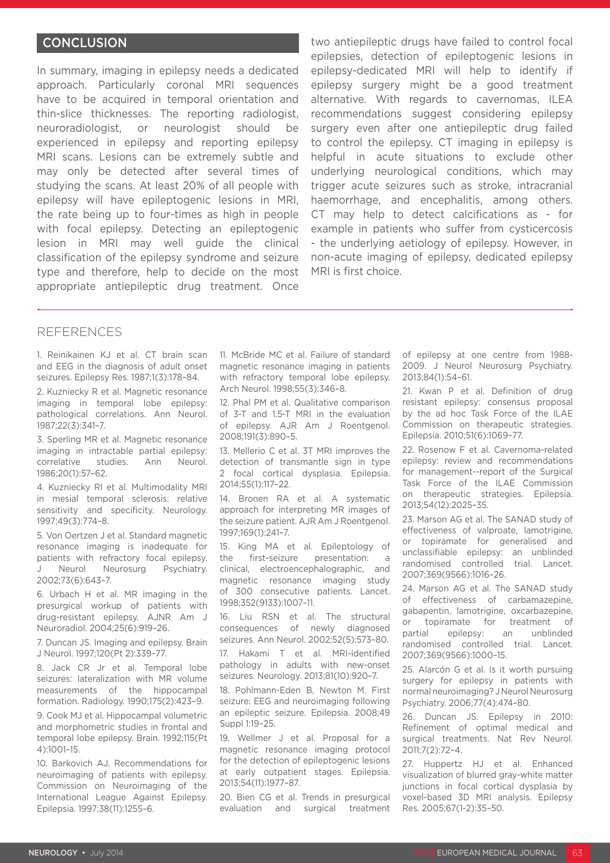#### **CONCLUSION**

In summary, imaging in epilepsy needs a dedicated approach. Particularly coronal MRI sequences have to be acquired in temporal orientation and thin-slice thicknesses. The reporting radiologist, neuroradiologist, or neurologist should be experienced in epilepsy and reporting epilepsy MRI scans. Lesions can be extremely subtle and may only be detected after several times of studying the scans. At least 20% of all people with epilepsy will have epileptogenic lesions in MRI, the rate being up to four-times as high in people with focal epilepsy. Detecting an epileptogenic lesion in MRI may well guide the clinical classification of the epilepsy syndrome and seizure type and therefore, help to decide on the most appropriate antiepileptic drug treatment. Once

two antiepileptic drugs have failed to control focal epilepsies, detection of epileptogenic lesions in epilepsy-dedicated MRI will help to identify if epilepsy surgery might be a good treatment alternative. With regards to cavernomas, ILEA recommendations suggest considering epilepsy surgery even after one antiepileptic drug failed to control the epilepsy. CT imaging in epilepsy is helpful in acute situations to exclude other underlying neurological conditions, which may trigger acute seizures such as stroke, intracranial haemorrhage, and encephalitis, among others. CT may help to detect calcifications as - for example in patients who suffer from cysticercosis - the underlying aetiology of epilepsy. However, in non-acute imaging of epilepsy, dedicated epilepsy MRI is first choice.

#### REFERENCES

1. Reinikainen KJ et al. CT brain scan and EEG in the diagnosis of adult onset seizures. Epilepsy Res. 1987;1(3):178–84.

2. Kuzniecky R et al. Magnetic resonance imaging in temporal lobe epilepsy: pathological correlations. Ann Neurol. 1987;22(3):341–7.

3. Sperling MR et al. Magnetic resonance imaging in intractable partial epilepsy: correlative studies. Ann Neurol. 1986;20(1):57–62.

4. Kuzniecky RI et al. Multimodality MRI in mesial temporal sclerosis: relative sensitivity and specificity. Neurology. 1997;49(3):774–8.

5. Von Oertzen J et al. Standard magnetic resonance imaging is inadequate for patients with refractory focal epilepsy. J Neurol Neurosurg Psychiatry. 2002;73(6):643–7.

6. Urbach H et al. MR imaging in the presurgical workup of patients with drug-resistant epilepsy. AJNR Am J Neuroradiol. 2004;25(6):919–26.

7. Duncan JS. Imaging and epilepsy. Brain J Neurol. 1997;120(Pt 2):339–77.

8. Jack CR Jr et al. Temporal lobe seizures: lateralization with MR volume measurements of the hippocampal formation. Radiology. 1990;175(2):423–9.

9. Cook MJ et al. Hippocampal volumetric and morphometric studies in frontal and temporal lobe epilepsy. Brain. 1992;115(Pt 4):1001–15.

10. Barkovich AJ. Recommendations for neuroimaging of patients with epilepsy. Commission on Neuroimaging of the International League Against Epilepsy. Epilepsia. 1997;38(11):1255–6.

11. McBride MC et al. Failure of standard magnetic resonance imaging in patients with refractory temporal lobe epilepsy. Arch Neurol. 1998;55(3):346–8.

12. Phal PM et al. Qualitative comparison of 3-T and 1.5-T MRI in the evaluation of epilepsy. AJR Am J Roentgenol. 2008;191(3):890–5.

13. Mellerio C et al. 3T MRI improves the detection of transmantle sign in type 2 focal cortical dysplasia. Epilepsia. 2014;55(1):117–22.

14. Bronen RA et al. A systematic approach for interpreting MR images of the seizure patient. AJR Am J Roentgenol. 1997;169(1):241–7.

15. King MA et al. Epileptology of the first-seizure presentation: a clinical, electroencephalographic, and magnetic resonance imaging study of 300 consecutive patients. Lancet. 1998;352(9133):1007–11.

16. Liu RSN et al. The structural consequences of newly diagnosed seizures. Ann Neurol. 2002;52(5):573–80.

17. Hakami T et al. MRI-identified pathology in adults with new-onset seizures. Neurology. 2013;81(10):920–7.

18. Pohlmann-Eden B, Newton M. First seizure: EEG and neuroimaging following an epileptic seizure. Epilepsia. 2008;49 Suppl 1:19–25.

19. Wellmer J et al. Proposal for a magnetic resonance imaging protocol for the detection of epileptogenic lesions at early outpatient stages. Epilepsia. 2013;54(11):1977–87.

20. Bien CG et al. Trends in presurgical evaluation and surgical treatment of epilepsy at one centre from 1988- 2009. J Neurol Neurosurg Psychiatry. 2013;84(1):54–61.

21. Kwan P et al. Definition of drug resistant epilepsy: consensus proposal by the ad hoc Task Force of the ILAE Commission on therapeutic strategies. Epilepsia. 2010;51(6):1069–77.

22. Rosenow F et al. Cavernoma-related epilepsy: review and recommendations for management--report of the Surgical Task Force of the ILAE Commission on therapeutic strategies. Epilepsia. 2013;54(12):2025–35.

23. Marson AG et al. The SANAD study of effectiveness of valproate, lamotrigine, or topiramate for generalised and unclassifiable epilepsy: an unblinded randomised controlled trial. Lancet. 2007;369(9566):1016–26.

24. Marson AG et al. The SANAD study of effectiveness of carbamazepine, gabapentin, lamotrigine, oxcarbazepine, or topiramate for treatment of partial epilepsy: an unblinded randomised controlled trial. Lancet. 2007;369(9566):1000–15.

25. Alarcón G et al. Is it worth pursuing surgery for epilepsy in patients with normal neuroimaging? J Neurol Neurosurg Psychiatry. 2006;77(4):474–80.

26. Duncan JS. Epilepsy in 2010: Refinement of optimal medical and surgical treatments. Nat Rev Neurol. 2011;7(2):72–4.

27. Huppertz HJ et al. Enhanced visualization of blurred gray-white matter junctions in focal cortical dysplasia by voxel-based 3D MRI analysis. Epilepsy Res. 2005;67(1-2):35–50.